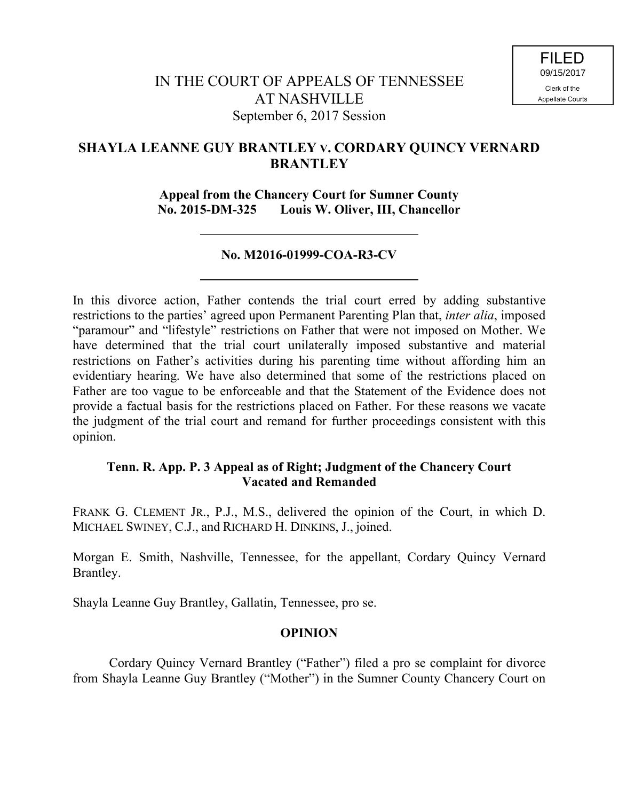# **SHAYLA LEANNE GUY BRANTLEY V. CORDARY QUINCY VERNARD BRANTLEY**

**Appeal from the Chancery Court for Sumner County No. 2015-DM-325 Louis W. Oliver, III, Chancellor**

### **No. M2016-01999-COA-R3-CV**

In this divorce action, Father contends the trial court erred by adding substantive restrictions to the parties' agreed upon Permanent Parenting Plan that, *inter alia*, imposed "paramour" and "lifestyle" restrictions on Father that were not imposed on Mother. We have determined that the trial court unilaterally imposed substantive and material restrictions on Father's activities during his parenting time without affording him an evidentiary hearing. We have also determined that some of the restrictions placed on Father are too vague to be enforceable and that the Statement of the Evidence does not provide a factual basis for the restrictions placed on Father. For these reasons we vacate the judgment of the trial court and remand for further proceedings consistent with this opinion.

### **Tenn. R. App. P. 3 Appeal as of Right; Judgment of the Chancery Court Vacated and Remanded**

FRANK G. CLEMENT JR., P.J., M.S., delivered the opinion of the Court, in which D. MICHAEL SWINEY, C.J., and RICHARD H. DINKINS, J., joined.

Morgan E. Smith, Nashville, Tennessee, for the appellant, Cordary Quincy Vernard Brantley.

Shayla Leanne Guy Brantley, Gallatin, Tennessee, pro se.

### **OPINION**

Cordary Quincy Vernard Brantley ("Father") filed a pro se complaint for divorce from Shayla Leanne Guy Brantley ("Mother") in the Sumner County Chancery Court on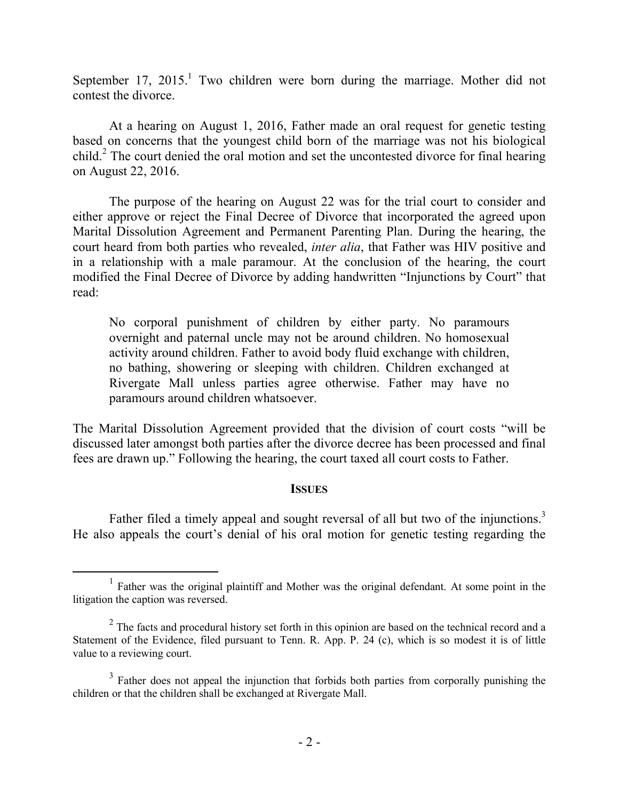September 17,  $2015<sup>1</sup>$  Two children were born during the marriage. Mother did not contest the divorce.

At a hearing on August 1, 2016, Father made an oral request for genetic testing based on concerns that the youngest child born of the marriage was not his biological child.<sup>2</sup> The court denied the oral motion and set the uncontested divorce for final hearing on August 22, 2016.

The purpose of the hearing on August 22 was for the trial court to consider and either approve or reject the Final Decree of Divorce that incorporated the agreed upon Marital Dissolution Agreement and Permanent Parenting Plan. During the hearing, the court heard from both parties who revealed, *inter alia*, that Father was HIV positive and in a relationship with a male paramour. At the conclusion of the hearing, the court modified the Final Decree of Divorce by adding handwritten "Injunctions by Court" that read:

No corporal punishment of children by either party. No paramours overnight and paternal uncle may not be around children. No homosexual activity around children. Father to avoid body fluid exchange with children, no bathing, showering or sleeping with children. Children exchanged at Rivergate Mall unless parties agree otherwise. Father may have no paramours around children whatsoever.

The Marital Dissolution Agreement provided that the division of court costs "will be discussed later amongst both parties after the divorce decree has been processed and final fees are drawn up." Following the hearing, the court taxed all court costs to Father.

### **ISSUES**

Father filed a timely appeal and sought reversal of all but two of the injunctions.<sup>3</sup> He also appeals the court's denial of his oral motion for genetic testing regarding the

 $\overline{a}$ 

<sup>&</sup>lt;sup>1</sup> Father was the original plaintiff and Mother was the original defendant. At some point in the litigation the caption was reversed.

 $2^2$  The facts and procedural history set forth in this opinion are based on the technical record and a Statement of the Evidence, filed pursuant to Tenn. R. App. P. 24 (c), which is so modest it is of little value to a reviewing court.

 $3$  Father does not appeal the injunction that forbids both parties from corporally punishing the children or that the children shall be exchanged at Rivergate Mall.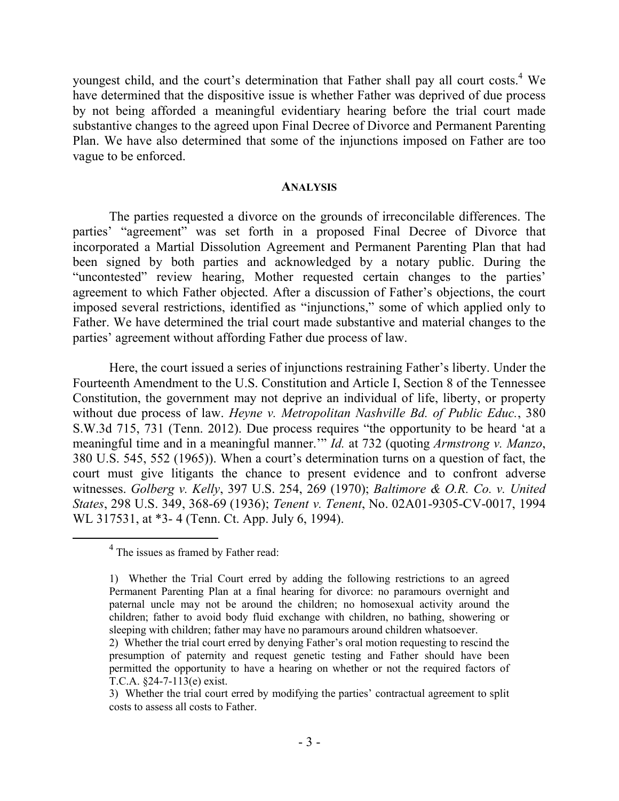youngest child, and the court's determination that Father shall pay all court costs. <sup>4</sup> We have determined that the dispositive issue is whether Father was deprived of due process by not being afforded a meaningful evidentiary hearing before the trial court made substantive changes to the agreed upon Final Decree of Divorce and Permanent Parenting Plan. We have also determined that some of the injunctions imposed on Father are too vague to be enforced.

#### **ANALYSIS**

The parties requested a divorce on the grounds of irreconcilable differences. The parties' "agreement" was set forth in a proposed Final Decree of Divorce that incorporated a Martial Dissolution Agreement and Permanent Parenting Plan that had been signed by both parties and acknowledged by a notary public. During the "uncontested" review hearing, Mother requested certain changes to the parties' agreement to which Father objected. After a discussion of Father's objections, the court imposed several restrictions, identified as "injunctions," some of which applied only to Father. We have determined the trial court made substantive and material changes to the parties' agreement without affording Father due process of law.

Here, the court issued a series of injunctions restraining Father's liberty. Under the Fourteenth Amendment to the U.S. Constitution and Article I, Section 8 of the Tennessee Constitution, the government may not deprive an individual of life, liberty, or property without due process of law. *Heyne v. Metropolitan Nashville Bd. of Public Educ.*, 380 S.W.3d 715, 731 (Tenn. 2012). Due process requires "the opportunity to be heard 'at a meaningful time and in a meaningful manner.'" *Id.* at 732 (quoting *Armstrong v. Manzo*, 380 U.S. 545, 552 (1965)). When a court's determination turns on a question of fact, the court must give litigants the chance to present evidence and to confront adverse witnesses. *Golberg v. Kelly*, 397 U.S. 254, 269 (1970); *Baltimore & O.R. Co. v. United States*, 298 U.S. 349, 368-69 (1936); *Tenent v. Tenent*, No. 02A01-9305-CV-0017, 1994 WL 317531, at \*3- 4 (Tenn. Ct. App. July 6, 1994).

 $\overline{a}$ 

 $4$  The issues as framed by Father read:

<sup>1)</sup> Whether the Trial Court erred by adding the following restrictions to an agreed Permanent Parenting Plan at a final hearing for divorce: no paramours overnight and paternal uncle may not be around the children; no homosexual activity around the children; father to avoid body fluid exchange with children, no bathing, showering or sleeping with children; father may have no paramours around children whatsoever.

<sup>2)</sup> Whether the trial court erred by denying Father's oral motion requesting to rescind the presumption of paternity and request genetic testing and Father should have been permitted the opportunity to have a hearing on whether or not the required factors of T.C.A. §24-7-113(e) exist.

<sup>3)</sup> Whether the trial court erred by modifying the parties' contractual agreement to split costs to assess all costs to Father.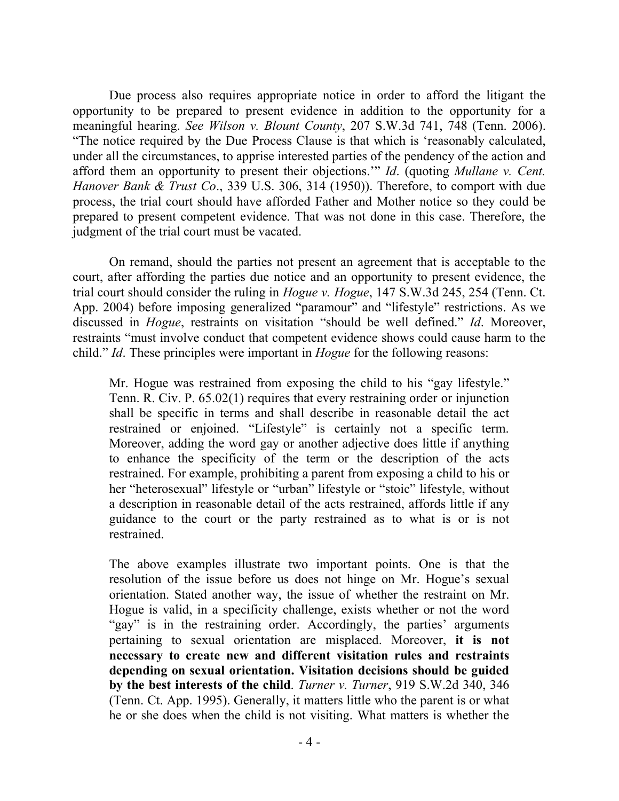Due process also requires appropriate notice in order to afford the litigant the opportunity to be prepared to present evidence in addition to the opportunity for a meaningful hearing. *See Wilson v. Blount County*, 207 S.W.3d 741, 748 (Tenn. 2006). "The notice required by the Due Process Clause is that which is 'reasonably calculated, under all the circumstances, to apprise interested parties of the pendency of the action and afford them an opportunity to present their objections.'" *Id*. (quoting *Mullane v. Cent. Hanover Bank & Trust Co*., 339 U.S. 306, 314 (1950)). Therefore, to comport with due process, the trial court should have afforded Father and Mother notice so they could be prepared to present competent evidence. That was not done in this case. Therefore, the judgment of the trial court must be vacated.

On remand, should the parties not present an agreement that is acceptable to the court, after affording the parties due notice and an opportunity to present evidence, the trial court should consider the ruling in *Hogue v. Hogue*, 147 S.W.3d 245, 254 (Tenn. Ct. App. 2004) before imposing generalized "paramour" and "lifestyle" restrictions. As we discussed in *Hogue*, restraints on visitation "should be well defined." *Id*. Moreover, restraints "must involve conduct that competent evidence shows could cause harm to the child." *Id*. These principles were important in *Hogue* for the following reasons:

Mr. Hogue was restrained from exposing the child to his "gay lifestyle." Tenn. R. Civ. P. 65.02(1) requires that every restraining order or injunction shall be specific in terms and shall describe in reasonable detail the act restrained or enjoined. "Lifestyle" is certainly not a specific term. Moreover, adding the word gay or another adjective does little if anything to enhance the specificity of the term or the description of the acts restrained. For example, prohibiting a parent from exposing a child to his or her "heterosexual" lifestyle or "urban" lifestyle or "stoic" lifestyle, without a description in reasonable detail of the acts restrained, affords little if any guidance to the court or the party restrained as to what is or is not restrained.

The above examples illustrate two important points. One is that the resolution of the issue before us does not hinge on Mr. Hogue's sexual orientation. Stated another way, the issue of whether the restraint on Mr. Hogue is valid, in a specificity challenge, exists whether or not the word "gay" is in the restraining order. Accordingly, the parties' arguments pertaining to sexual orientation are misplaced. Moreover, **it is not necessary to create new and different visitation rules and restraints depending on sexual orientation. Visitation decisions should be guided by the best interests of the child**. *Turner v. Turner*, 919 S.W.2d 340, 346 (Tenn. Ct. App. 1995). Generally, it matters little who the parent is or what he or she does when the child is not visiting. What matters is whether the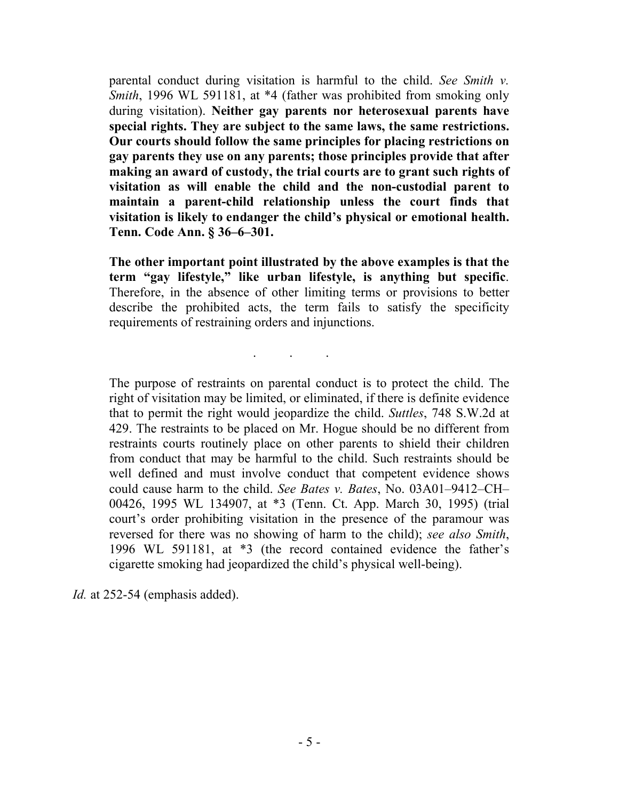parental conduct during visitation is harmful to the child. *See Smith v. Smith*, 1996 WL 591181, at \*4 (father was prohibited from smoking only during visitation). **Neither gay parents nor heterosexual parents have special rights. They are subject to the same laws, the same restrictions. Our courts should follow the same principles for placing restrictions on gay parents they use on any parents; those principles provide that after making an award of custody, the trial courts are to grant such rights of visitation as will enable the child and the non-custodial parent to maintain a parent-child relationship unless the court finds that visitation is likely to endanger the child's physical or emotional health. Tenn. Code Ann. § 36–6–301.**

**The other important point illustrated by the above examples is that the term "gay lifestyle," like urban lifestyle, is anything but specific**. Therefore, in the absence of other limiting terms or provisions to better describe the prohibited acts, the term fails to satisfy the specificity requirements of restraining orders and injunctions.

. . .

The purpose of restraints on parental conduct is to protect the child. The right of visitation may be limited, or eliminated, if there is definite evidence that to permit the right would jeopardize the child. *Suttles*, 748 S.W.2d at 429. The restraints to be placed on Mr. Hogue should be no different from restraints courts routinely place on other parents to shield their children from conduct that may be harmful to the child. Such restraints should be well defined and must involve conduct that competent evidence shows could cause harm to the child. *See Bates v. Bates*, No. 03A01–9412–CH– 00426, 1995 WL 134907, at \*3 (Tenn. Ct. App. March 30, 1995) (trial court's order prohibiting visitation in the presence of the paramour was reversed for there was no showing of harm to the child); *see also Smith*, 1996 WL 591181, at \*3 (the record contained evidence the father's cigarette smoking had jeopardized the child's physical well-being).

*Id.* at 252-54 (emphasis added).